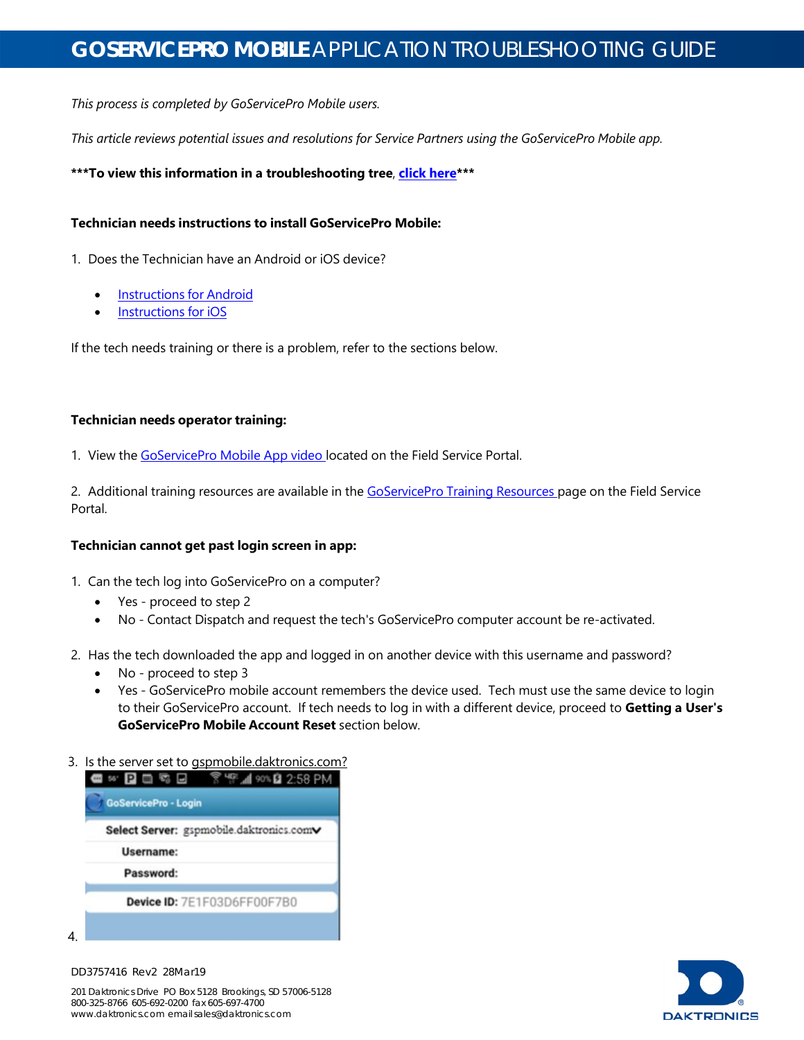*This process is completed by GoServicePro Mobile users.*

*This article reviews potential issues and resolutions for Service Partners using the GoServicePro Mobile app.*

**\*\*\*To view this information in a troubleshooting tree**, **click [here\\*](https://www.daktronics.com/FieldServicePortalDocuments/GoServicePro%20Mobile%20-%20Troubleshooting%20Tree.pdf)\*\***

### **Technician needs instructions to install GoServicePro Mobile:**

1. Does the Technician have an Android or iOS device?

- **[Instructions](https://www.daktronics.com/FieldServicePortalDocuments/GoServicePro%20Mobile%20-%20Installation%20and%20Setup%20for%20Android%20Devices.pdf) for Android**
- [Instructions](https://www.daktronics.com/FieldServicePortalDocuments/GoServicePro%20Mobile%20-%20Installation%20and%20Setup%20for%20iOS%20Devices.pdf) for iOS

If the tech needs training or there is a problem, refer to the sections below.

#### **Technician needs operator training:**

1. View the [GoServicePro](https://www.daktronics.com/en-us/video-gallery/GoServicePro-GoServicePro-Mobile-App) Mobile App video located on the Field Service Portal.

2. Additional training resources are available in the [GoServicePro](https://www.daktronics.com/en-us/partners/field-service-portal/training) Training Resources page on the Field Service Portal.

### **Technician cannot get past login screen in app:**

- 1. Can the tech log into GoServicePro on a computer?
	- Yes proceed to step 2
	- No Contact Dispatch and request the tech's GoServicePro computer account be re-activated.
- 2. Has the tech downloaded the app and logged in on another device with this username and password?
	- No proceed to step 3
	- Yes GoServicePro mobile account remembers the device used. Tech must use the same device to login to their GoServicePro account. If tech needs to log in with a different device, proceed to **Getting a User's GoServicePro Mobile Account Reset** section below.

#### 3. Is the server set to gspmobile.daktronics.com?

| 68 O<br><b>GoServicePro - Login</b> | <sup>假</sup> 1 90% 2 2:58 PM             |
|-------------------------------------|------------------------------------------|
|                                     | Select Server: gspmobile.daktronics.comv |
| Username:                           |                                          |
| Password:                           |                                          |
|                                     | Device ID: 7E1F03D6FF00F7B0              |





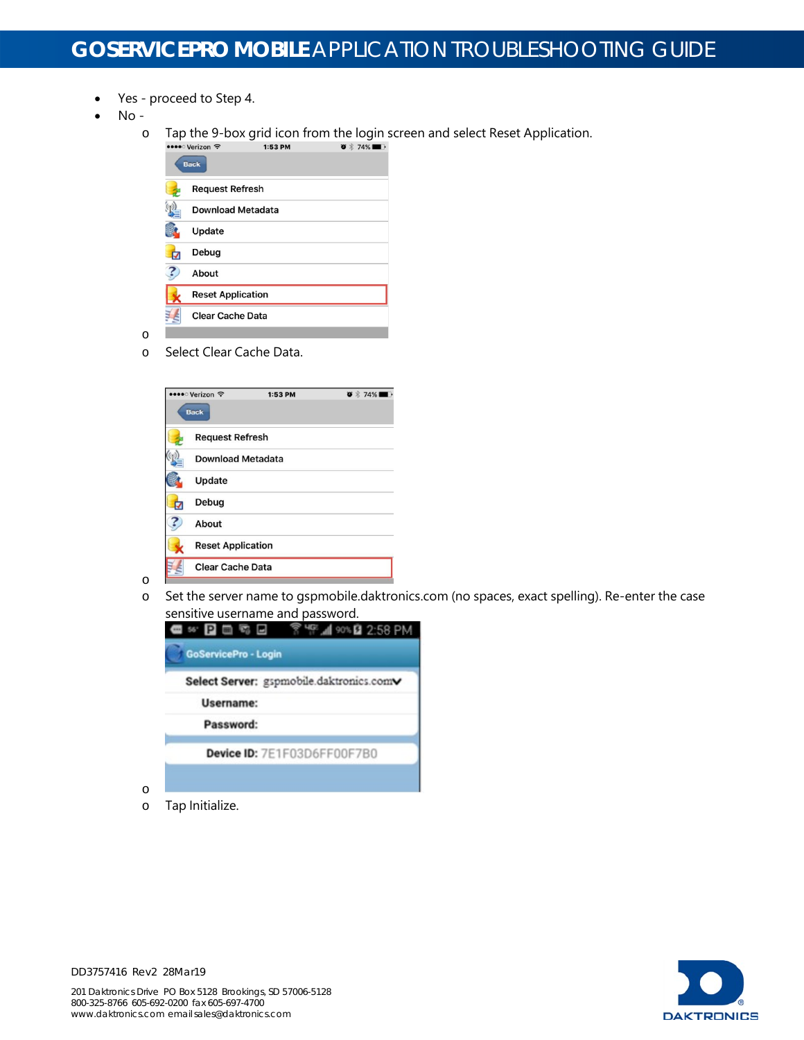- Yes proceed to Step 4.
- No
	- **o** Tap the 9-box grid icon from the login screen and select Reset Application.<br> **EXECUTE:** 158 PM



o Select Clear Cache Data.



o Set the server name to gspmobile.daktronics.com (no spaces, exact spelling). Re-enter the case sensitive username and password.



o Tap Initialize.



DD3757416 Rev2 28Mar19

o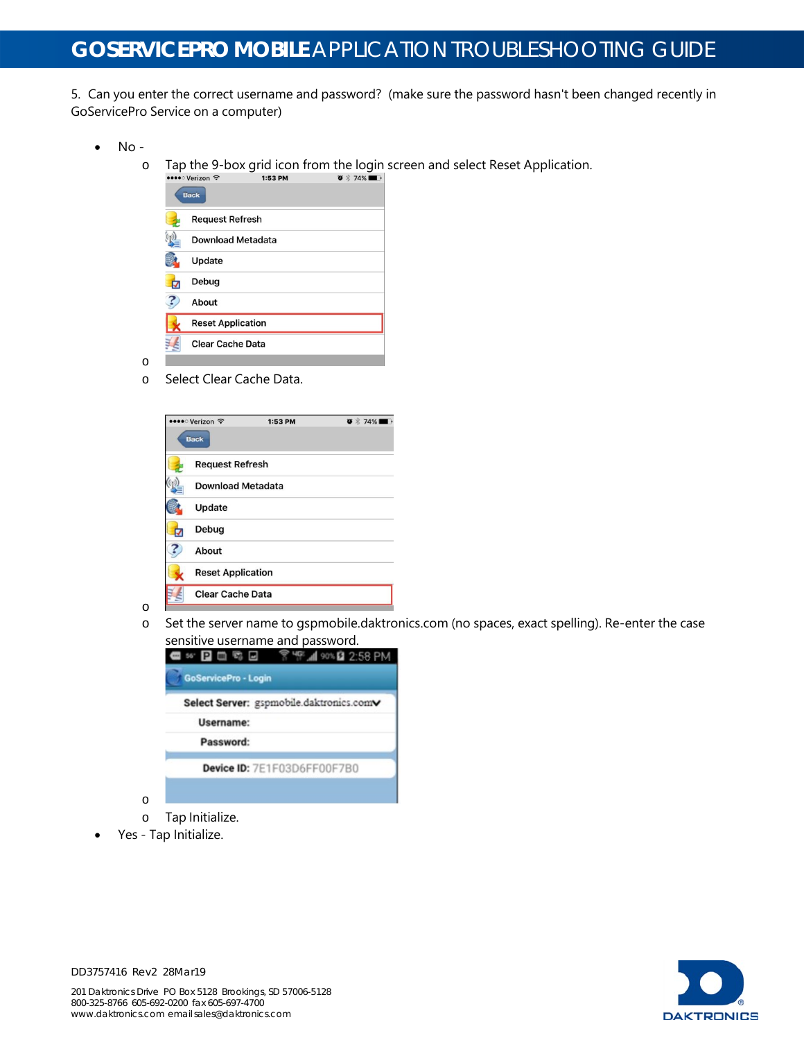5. Can you enter the correct username and password? (make sure the password hasn't been changed recently in GoServicePro Service on a computer)

- No
	- o Tap the 9-box grid icon from the login screen and select Reset Application.<br>  $\frac{1}{2}$



o Select Clear Cache Data.



o Set the server name to gspmobile.daktronics.com (no spaces, exact spelling). Re-enter the case sensitive username and password.

| Select Server: gspmobile.daktronics.comv |
|------------------------------------------|
| Username:                                |
| Password:                                |
| Device ID: 7E1F03D6FF00F7B0              |

• Yes - Tap Initialize.



DD3757416 Rev2 28Mar19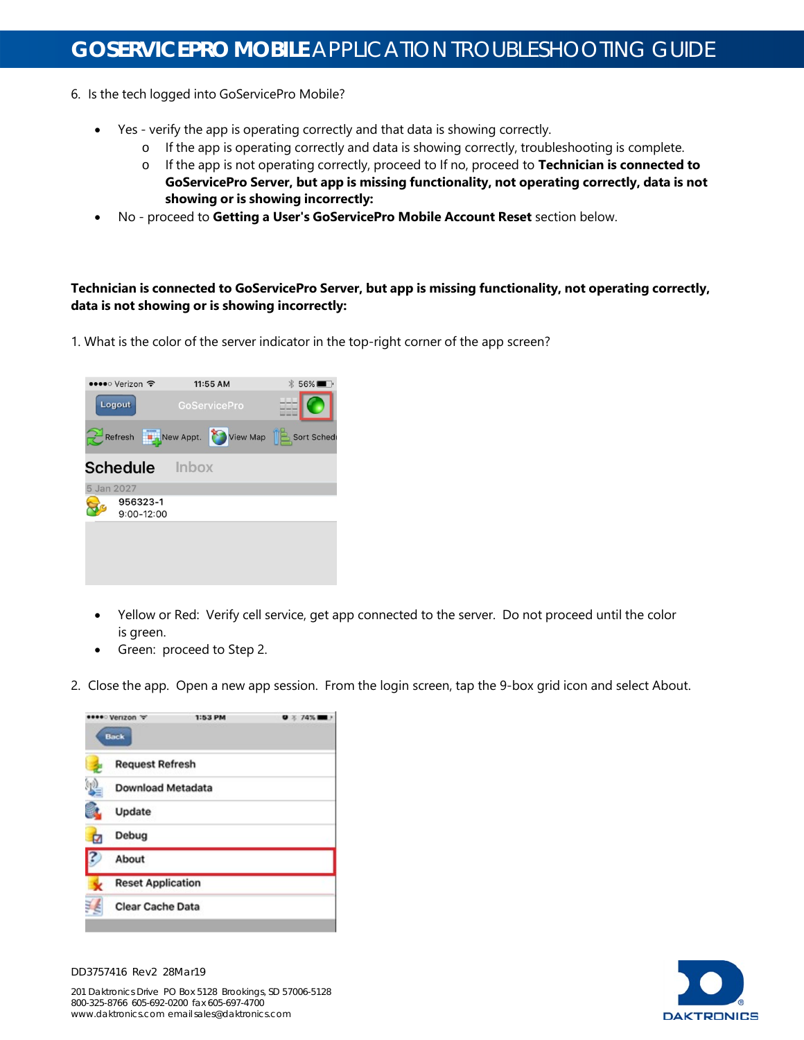- 6. Is the tech logged into GoServicePro Mobile?
	- Yes verify the app is operating correctly and that data is showing correctly.
		- o If the app is operating correctly and data is showing correctly, troubleshooting is complete.
		- o If the app is not operating correctly, proceed to If no, proceed to **Technician is connected to GoServicePro Server, but app is missing functionality, not operating correctly, data is not showing or is showing incorrectly:**
	- No proceed to **Getting a User's GoServicePro Mobile Account Reset** section below.

**Technician is connected to GoServicePro Server, but app is missing functionality, not operating correctly, data is not showing or is showing incorrectly:**

1. What is the color of the server indicator in the top-right corner of the app screen?



- Yellow or Red: Verify cell service, get app connected to the server. Do not proceed until the color is green.
- Green: proceed to Step 2.
- 2. Close the app. Open a new app session. From the login screen, tap the 9-box grid icon and select About.



DD3757416 Rev2 28Mar19